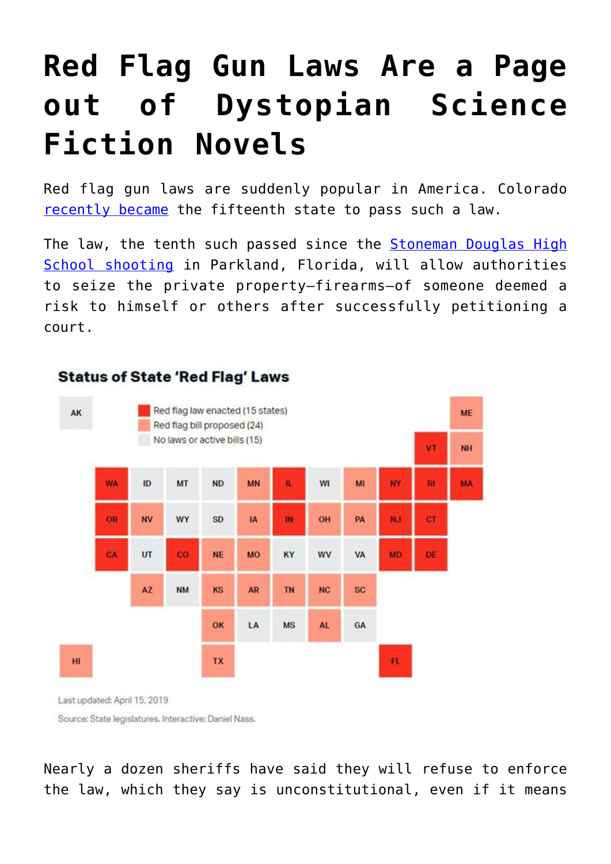# **[Red Flag Gun Laws Are a Page](https://intellectualtakeout.org/2019/04/red-flag-gun-laws-are-a-page-out-of-dystopian-science-fiction-novels/) [out of Dystopian Science](https://intellectualtakeout.org/2019/04/red-flag-gun-laws-are-a-page-out-of-dystopian-science-fiction-novels/) [Fiction Novels](https://intellectualtakeout.org/2019/04/red-flag-gun-laws-are-a-page-out-of-dystopian-science-fiction-novels/)**

Red flag gun laws are suddenly popular in America. Colorado [recently became](https://www.cnn.com/2019/04/12/us/colorado-red-flag-gun-laws/index.html) the fifteenth state to pass such a law.

The law, the tenth such passed since the **Stoneman Douglas High** [School shooting](https://en.wikipedia.org/wiki/Stoneman_Douglas_High_School_shooting) in Parkland, Florida, will allow authorities to seize the private property—firearms—of someone deemed a risk to himself or others after successfully petitioning a court.



**Status of State 'Red Flag' Laws** 

Last updated: April 15, 2019

Source: State legislatures. Interactive: Daniel Nass.

Nearly a dozen sheriffs have said they will refuse to enforce the law, which they say is unconstitutional, even if it means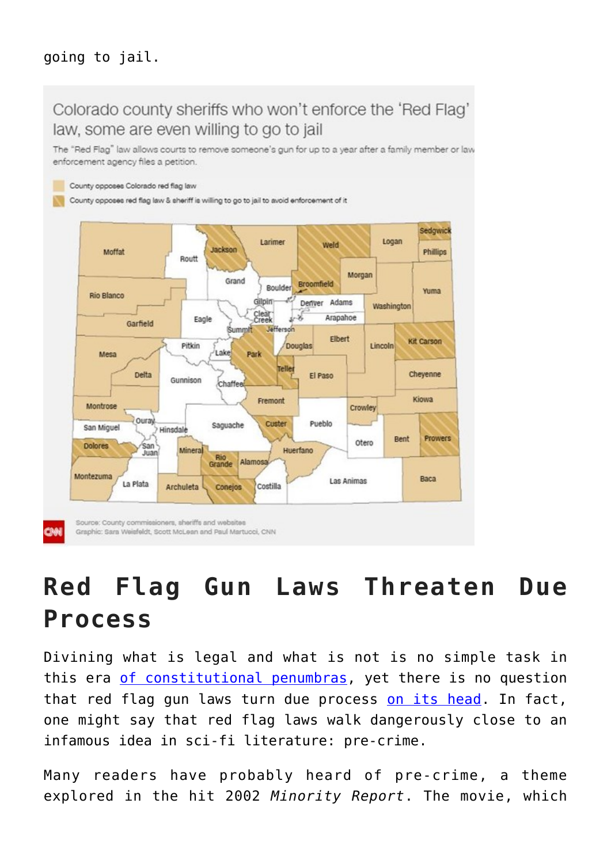#### going to jail.



### **Red Flag Gun Laws Threaten Due Process**

Divining what is legal and what is not is no simple task in this era [of constitutional penumbras,](https://www.thepublicdiscourse.com/2013/07/10091/) yet there is no question that red flag gun laws turn due process [on its head](https://fee.org/articles/red-flag-gun-laws-turn-due-process-on-its-head/). In fact, one might say that red flag laws walk dangerously close to an infamous idea in sci-fi literature: pre-crime.

Many readers have probably heard of pre-crime, a theme explored in the hit 2002 *Minority Report*. The movie, which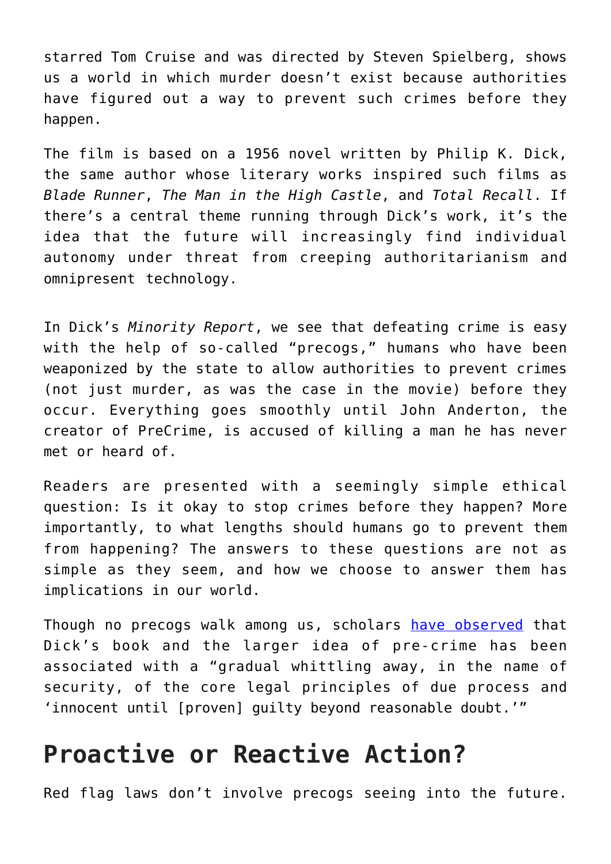starred Tom Cruise and was directed by Steven Spielberg, shows us a world in which murder doesn't exist because authorities have figured out a way to prevent such crimes before they happen.

The film is based on a 1956 novel written by Philip K. Dick, the same author whose literary works inspired such films as *Blade Runner*, *The Man in the High Castle*, and *Total Recall*. If there's a central theme running through Dick's work, it's the idea that the future will increasingly find individual autonomy under threat from creeping authoritarianism and omnipresent technology.

In Dick's *Minority Report*, we see that defeating crime is easy with the help of so-called "precogs," humans who have been weaponized by the state to allow authorities to prevent crimes (not just murder, as was the case in the movie) before they occur. Everything goes smoothly until John Anderton, the creator of PreCrime, is accused of killing a man he has never met or heard of.

Readers are presented with a seemingly simple ethical question: Is it okay to stop crimes before they happen? More importantly, to what lengths should humans go to prevent them from happening? The answers to these questions are not as simple as they seem, and how we choose to answer them has implications in our world.

Though no precogs walk among us, scholars [have observed](https://academic.oup.com/bjc/article-abstract/58/2/501/3064512) that Dick's book and the larger idea of pre-crime has been associated with a "gradual whittling away, in the name of security, of the core legal principles of due process and 'innocent until [proven] guilty beyond reasonable doubt.'"

#### **Proactive or Reactive Action?**

Red flag laws don't involve precogs seeing into the future.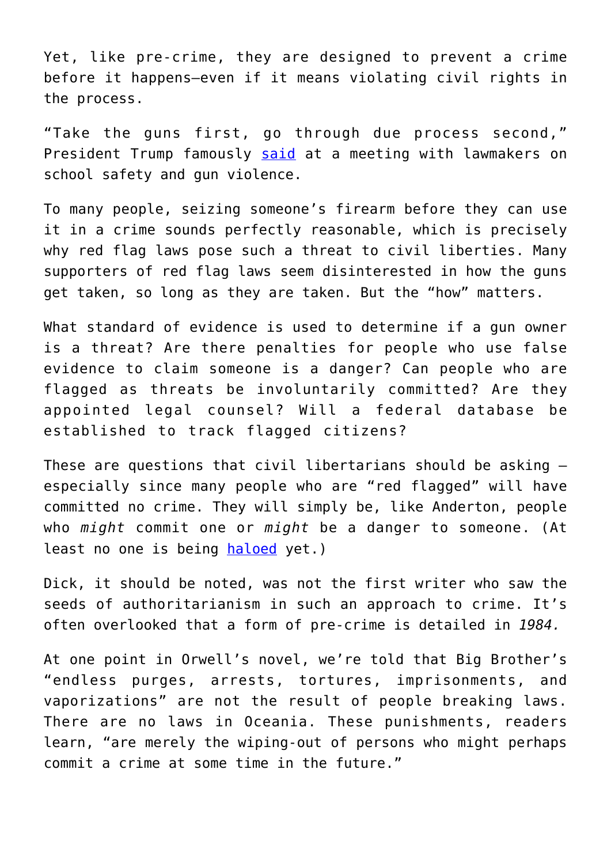Yet, like pre-crime, they are designed to prevent a crime before it happens—even if it means violating civil rights in the process.

"Take the guns first, go through due process second," President Trump famously [said](https://thehill.com/homenews/administration/376097-trump-take-the-guns-first-go-through-due-process-second) at a meeting with lawmakers on school safety and gun violence.

To many people, seizing someone's firearm before they can use it in a crime sounds perfectly reasonable, which is precisely why red flag laws pose such a threat to civil liberties. Many supporters of red flag laws seem disinterested in how the guns get taken, so long as they are taken. But the "how" matters.

What standard of evidence is used to determine if a gun owner is a threat? Are there penalties for people who use false evidence to claim someone is a danger? Can people who are flagged as threats be involuntarily committed? Are they appointed legal counsel? Will a federal database be established to track flagged citizens?

These are questions that civil libertarians should be asking especially since many people who are "red flagged" will have committed no crime. They will simply be, like Anderton, people who *might* commit one or *might* be a danger to someone. (At least no one is being [haloed](https://getyarn.io/yarn-clip/60a99a19-115e-4f5c-935f-ae602d7ff332) yet.)

Dick, it should be noted, was not the first writer who saw the seeds of authoritarianism in such an approach to crime. It's often overlooked that a form of pre-crime is detailed in *1984.*

At one point in Orwell's novel, we're told that Big Brother's "endless purges, arrests, tortures, imprisonments, and vaporizations" are not the result of people breaking laws. There are no laws in Oceania. These punishments, readers learn, "are merely the wiping-out of persons who might perhaps commit a crime at some time in the future."